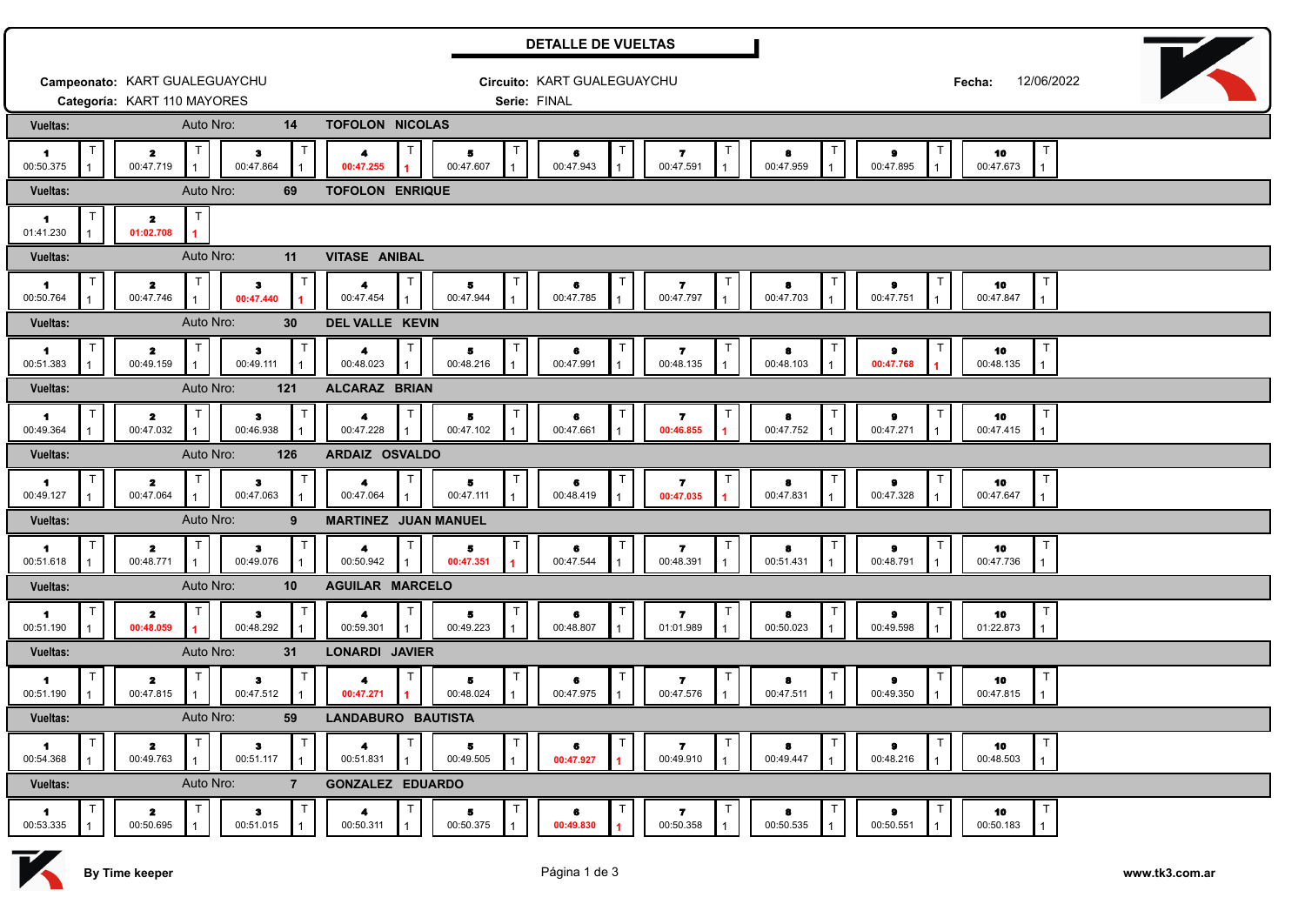| <b>DETALLE DE VUELTAS</b>                 |                                               |                 |                           |              |                             |                      |                 |  |                |  |                           |        |                      |  |                        |  |                                      |  |
|-------------------------------------------|-----------------------------------------------|-----------------|---------------------------|--------------|-----------------------------|----------------------|-----------------|--|----------------|--|---------------------------|--------|----------------------|--|------------------------|--|--------------------------------------|--|
| Campeonato: KART GUALEGUAYCHU             |                                               |                 |                           |              | Circuito: KART GUALEGUAYCHU |                      |                 |  |                |  |                           |        | 12/06/2022<br>Fecha: |  |                        |  |                                      |  |
| Categoría: KART 110 MAYORES               |                                               |                 |                           |              | Serie: FINAL                |                      |                 |  |                |  |                           |        |                      |  |                        |  |                                      |  |
| Vueltas:                                  |                                               | Auto Nro:       | 14                        |              | <b>TOFOLON NICOLAS</b>      |                      |                 |  |                |  |                           |        |                      |  |                        |  |                                      |  |
| $\mathbf{1}$<br>00:50.375                 | $\mathbf{z}$<br>00:47.719                     |                 | $\bullet$<br>00:47.864    | $\mathsf{T}$ | 4<br>00:47.255              |                      | 5<br>00:47.607  |  | 6<br>00:47.943 |  | 7<br>00:47.591            |        | 8<br>00:47.959       |  | 9<br>00:47.895         |  | 10<br>00:47.673<br>$\mathbf{1}$      |  |
| Vueltas:                                  |                                               | Auto Nro:       | 69                        |              | <b>TOFOLON ENRIQUE</b>      |                      |                 |  |                |  |                           |        |                      |  |                        |  |                                      |  |
| $\blacksquare$<br>01:41.230               | $\mathbf{z}$<br>01:02.708                     |                 |                           |              |                             |                      |                 |  |                |  |                           |        |                      |  |                        |  |                                      |  |
| Vueltas:                                  | Auto Nro:<br>11                               |                 |                           |              |                             | <b>VITASE ANIBAL</b> |                 |  |                |  |                           |        |                      |  |                        |  |                                      |  |
| $\blacksquare$<br>00:50.764               | $\mathbf{z}$<br>00:47.746                     |                 | з.<br>00:47.440           | $\mathsf T$  | 4<br>00:47.454              | Т                    | 5<br>00:47.944  |  | 6<br>00:47.785 |  | 7<br>00:47.797            | $\top$ | 8<br>00:47.703       |  | 9<br>00:47.751         |  | T<br>10<br>00:47.847<br>$\mathbf{1}$ |  |
| Vueltas:                                  |                                               | Auto Nro:       | 30                        |              | DEL VALLE KEVIN             |                      |                 |  |                |  |                           |        |                      |  |                        |  |                                      |  |
| -1<br>00:51.383                           | $\overline{\mathbf{z}}$<br>00:49.159          |                 | $\mathbf{3}$<br>00:49.111 |              | 4<br>00:48.023              |                      | 5<br>00:48.216  |  | 6<br>00:47.991 |  | 7<br>00:48.135            |        | 8<br>00:48.103       |  | 9<br>00:47.768         |  | $\top$<br>10<br>00:48.135            |  |
| Vueltas:                                  |                                               | Auto Nro:       | 121                       |              | ALCARAZ BRIAN               |                      |                 |  |                |  |                           |        |                      |  |                        |  |                                      |  |
| -1.<br>00:49.364                          | $\overline{\mathbf{z}}$<br>00:47.032          |                 | $\bullet$<br>00:46.938    | T            | 4<br>00:47.228              |                      | 5<br>00:47.102  |  | 6<br>00:47.661 |  | 7<br>00:46.855            |        | 8<br>00:47.752       |  | $\bullet$<br>00:47.271 |  | 10<br>00:47.415<br>$\mathbf{1}$      |  |
| Vueltas:                                  |                                               | Auto Nro:       | 126                       |              | ARDAIZ OSVALDO              |                      |                 |  |                |  |                           |        |                      |  |                        |  |                                      |  |
| $\mathbf{1}$<br>00:49.127                 | $\mathbf{z}$<br>00:47.064                     |                 | $\bullet$<br>00:47.063    | $\mathsf{T}$ | 4<br>00:47.064              |                      | 5<br>00:47.111  |  | 6<br>00:48.419 |  | 7<br>00:47.035            |        | 8<br>00:47.831       |  | э<br>00:47.328         |  | 10<br>00:47.647<br>$\mathbf{1}$      |  |
| Vueltas:                                  | Auto Nro:<br>9<br><b>MARTINEZ JUAN MANUEL</b> |                 |                           |              |                             |                      |                 |  |                |  |                           |        |                      |  |                        |  |                                      |  |
| $\mathsf{T}$<br>$\mathbf{1}$<br>00:51.618 | $\mathbf{z}$<br>00:48.771                     |                 | $\mathbf{3}$<br>00:49.076 | т            | 4<br>00:50.942              |                      | 5.<br>00:47.351 |  | 6<br>00:47.544 |  | 7<br>00:48.391            |        | 8<br>00:51.431       |  | $\bullet$<br>00:48.791 |  | T<br>10<br>00:47.736<br>$\mathbf{1}$ |  |
| Vueltas:                                  | Auto Nro:<br>10<br><b>AGUILAR MARCELO</b>     |                 |                           |              |                             |                      |                 |  |                |  |                           |        |                      |  |                        |  |                                      |  |
| $\mathbf{1}$<br>00:51.190                 | -2<br>00:48.059                               |                 | з.<br>00:48.292           |              | 4<br>00:59.301              |                      | 5<br>00:49.223  |  | 6<br>00:48.807 |  | 7<br>01:01.989            |        | 8<br>00:50.023       |  | 9<br>00:49.598         |  | 10<br>01:22.873<br>$\mathbf{1}$      |  |
| Vueltas:                                  |                                               | Auto Nro:<br>31 | LONARDI JAVIER            |              |                             |                      |                 |  |                |  |                           |        |                      |  |                        |  |                                      |  |
| $\mathbf{1}$<br>00:51.190                 | $\mathbf{z}$<br>00:47.815                     |                 | з<br>00:47.512            |              | 4<br>00:47.271              |                      | 5<br>00:48.024  |  | 6<br>00:47.975 |  | 7<br>00:47.576            | Т      | 8<br>00:47.511       |  | 9<br>00:49.350         |  | T<br>10<br>00:47.815<br>$\mathbf{1}$ |  |
| Vueltas:                                  | Auto Nro:<br>59                               |                 |                           |              | LANDABURO BAUTISTA          |                      |                 |  |                |  |                           |        |                      |  |                        |  |                                      |  |
| T<br>$\blacksquare$<br>00:54.368          | $\mathbf{z}$<br>00:49.763                     |                 | з<br>00:51.117            | T            | 4<br>00:51.831              |                      | 5<br>00:49.505  |  | 6<br>00:47.927 |  | $\mathbf{z}$<br>00:49.910 | $\top$ | 8<br>00:49.447       |  | 9<br>00:48.216         |  | $\mathsf{T}$<br>10<br>00:48.503<br>1 |  |
| Vueltas:                                  | Auto Nro:<br>$\overline{7}$                   |                 |                           |              | <b>GONZALEZ EDUARDO</b>     |                      |                 |  |                |  |                           |        |                      |  |                        |  |                                      |  |
| $\mathbf{1}$<br>00:53.335                 | $\overline{\mathbf{z}}$<br>00:50.695          |                 | з<br>00:51.015            | $\top$       | 4<br>00:50.311              |                      | 5<br>00:50.375  |  | 6<br>00:49.830 |  | 7<br>00:50.358            | $\top$ | 8<br>00:50.535       |  | $\bullet$<br>00:50.551 |  | T<br>10<br>00:50.183<br>$\mathbf{1}$ |  |

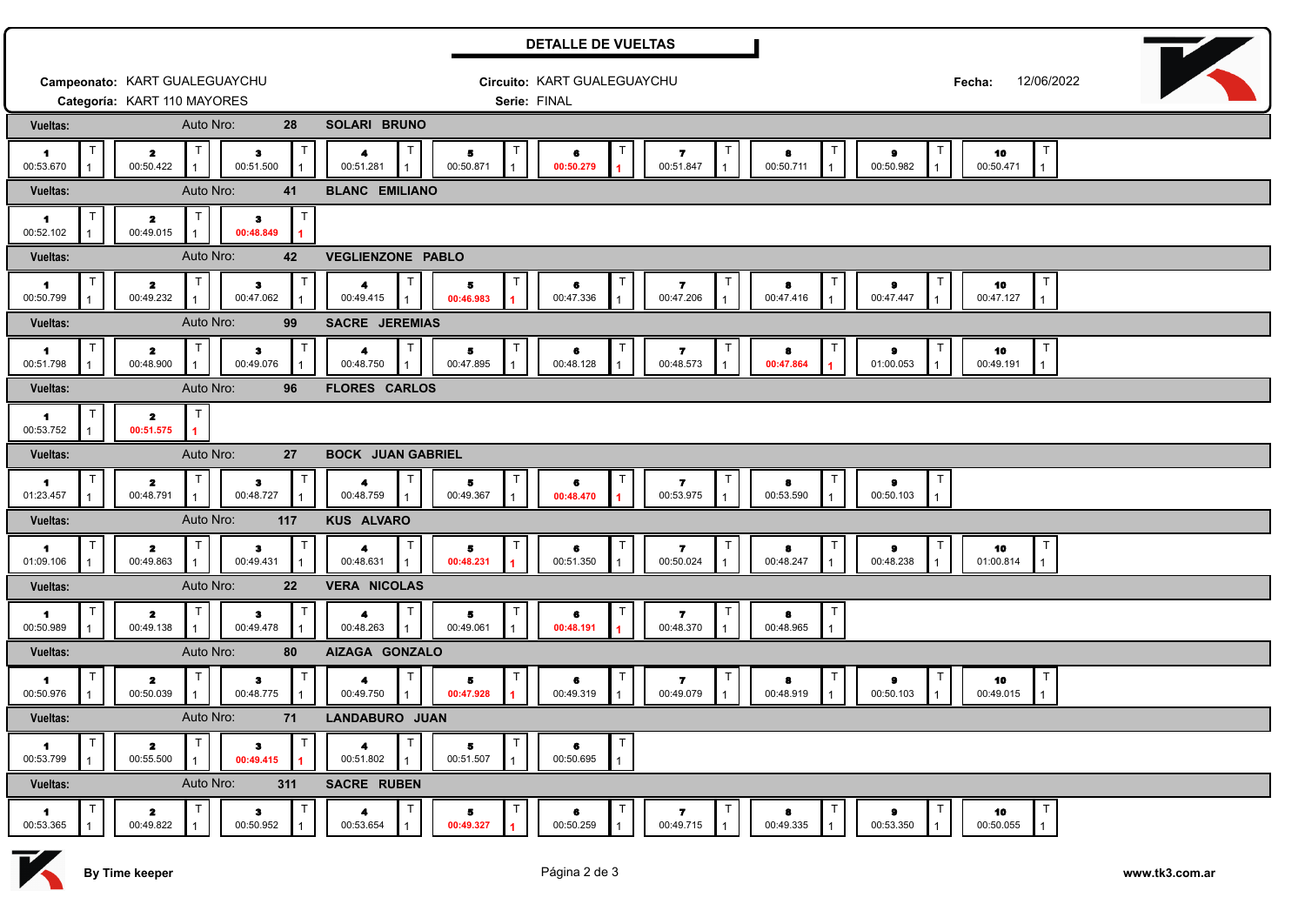|                             | <b>DETALLE DE VUELTAS</b>      |                           |              |                                                |                                |                                |                           |                |                                |                                                 |  |  |  |
|-----------------------------|--------------------------------|---------------------------|--------------|------------------------------------------------|--------------------------------|--------------------------------|---------------------------|----------------|--------------------------------|-------------------------------------------------|--|--|--|
|                             | Campeonato: KART GUALEGUAYCHU  |                           |              |                                                |                                | Circuito: KART GUALEGUAYCHU    |                           |                | 12/06/2022<br>Fecha:           |                                                 |  |  |  |
|                             | Categoría: KART 110 MAYORES    | Auto Nro:                 |              |                                                | Serie: FINAL                   |                                |                           |                |                                |                                                 |  |  |  |
| Vueltas:                    |                                | 28                        |              | SOLARI BRUNO                                   |                                |                                |                           |                |                                |                                                 |  |  |  |
| -1<br>00:53.670             | 2<br>00:50.422                 | з<br>00:51.500            |              | 4<br>00:51.281                                 | 5<br>00:50.871<br>$\mathbf{1}$ | 6<br>00:50.279                 | 7<br>00:51.847            | 8<br>00:50.711 | 9<br>$\mathbf{1}$<br>00:50.982 | 10<br>00:50.471<br>$\mathbf{1}$                 |  |  |  |
| Vueltas:                    |                                | Auto Nro:<br>41           |              | <b>BLANC EMILIANO</b>                          |                                |                                |                           |                |                                |                                                 |  |  |  |
| 1.<br>00:52.102             | 2<br>00:49.015                 | $\bullet$<br>00:48.849    | $\mathsf{T}$ |                                                |                                |                                |                           |                |                                |                                                 |  |  |  |
| Vueltas:                    |                                | Auto Nro:<br>42           |              | VEGLIENZONE PABLO                              |                                |                                |                           |                |                                |                                                 |  |  |  |
| -1<br>00:50.799             | 2<br>00:49.232                 | з<br>00:47.062            |              | 4<br>00:49.415                                 | 5<br>00:46.983                 | 6<br>00:47.336                 | 7<br>00:47.206            | 8<br>00:47.416 | 00:47.447                      | $\mathsf{T}$<br>10<br>00:47.127                 |  |  |  |
| Vueltas:                    |                                | Auto Nro:<br>99           |              | SACRE JEREMIAS                                 |                                |                                |                           |                |                                |                                                 |  |  |  |
| -1<br>00:51.798             | 2<br>00:48.900                 | з<br>00:49.076            |              | 4<br>00:48.750                                 | 5<br>00:47.895                 | 6<br>00:48.128                 | 7<br>00:48.573            | 8<br>00:47.864 | 9<br>01:00.053                 | $\mathsf{T}$<br>10<br>00:49.191<br>$\mathbf{1}$ |  |  |  |
| Vueltas:                    |                                | Auto Nro:<br>96           |              | <b>FLORES CARLOS</b>                           |                                |                                |                           |                |                                |                                                 |  |  |  |
| 1.<br>00:53.752             | 2<br>00:51.575                 |                           |              |                                                |                                |                                |                           |                |                                |                                                 |  |  |  |
| Vueltas:                    |                                | Auto Nro:<br>27           |              | <b>BOCK JUAN GABRIEL</b>                       |                                |                                |                           |                |                                |                                                 |  |  |  |
| 1<br>01:23.457              | 2<br>00:48.791                 | з<br>00:48.727            |              | 4<br>00:48.759                                 | 5<br>00:49.367                 | 6<br>00:48.470                 | 7<br>00:53.975            | 8<br>00:53.590 | 00:50.103                      |                                                 |  |  |  |
| Vueltas:                    |                                | Auto Nro:<br>117          |              | <b>KUS ALVARO</b>                              |                                |                                |                           |                |                                |                                                 |  |  |  |
| 1<br>01:09.106              | 2<br>00:49.863                 | $\bullet$<br>00:49.431    |              | 4<br>00:48.631                                 | 5<br>00:48.231                 | 6<br>00:51.350                 | 7<br>00:50.024            | 8<br>00:48.247 | 9<br>00:48.238                 | $\top$<br>10<br>01:00.814                       |  |  |  |
| Vueltas:                    |                                | Auto Nro:<br>22           |              | <b>VERA NICOLAS</b>                            |                                |                                |                           |                |                                |                                                 |  |  |  |
| -1<br>00:50.989             | $\mathbf{z}$<br>00:49.138      | з<br>00:49.478            | ा            | 4<br>00:48.263                                 | 5<br>00:49.061                 | т<br>6<br>00:48.191            | 7<br>00:48.370            | 8<br>00:48.965 |                                |                                                 |  |  |  |
| Vueltas:                    |                                | Auto Nro:<br>80           |              | AIZAGA GONZALO                                 |                                |                                |                           |                |                                |                                                 |  |  |  |
| $\mathbf{1}$<br>00:50.976   | 2<br>00:50.039                 | з<br>00:48.775            |              | 4<br>00:49.750                                 | 5<br>00:47.928                 | 6<br>00:49.319                 | 7<br>00:49.079            | 8<br>00:48.919 | 9<br>00:50.103                 | $\mathsf{T}$<br>10<br>00:49.015<br>$\mathbf{1}$ |  |  |  |
| Vueltas:                    |                                | Auto Nro:<br>71           |              | LANDABURO JUAN                                 |                                |                                |                           |                |                                |                                                 |  |  |  |
| $\blacksquare$<br>00:53.799 | T<br>$\mathbf{z}$<br>00:55.500 | з<br>00:49.415            |              | T<br>$\blacktriangleleft$<br>00:51.802         | 00:51.507                      | $\mathsf{T}$<br>6<br>00:50.695 |                           |                |                                |                                                 |  |  |  |
| Vueltas:                    |                                | Auto Nro:<br>311          |              | SACRE RUBEN                                    |                                |                                |                           |                |                                |                                                 |  |  |  |
| $\blacksquare$<br>00:53.365 | T<br>$\mathbf{z}$<br>00:49.822 | $\mathbf{3}$<br>00:50.952 | T            | $\top$<br>$\overline{\mathbf{A}}$<br>00:53.654 | 5<br>00:49.327                 | Τ<br>6<br>00:50.259            | $\mathbf{z}$<br>00:49.715 | 8<br>00:49.335 | $\bullet$<br>00:53.350         | T<br>10<br>00:50.055                            |  |  |  |